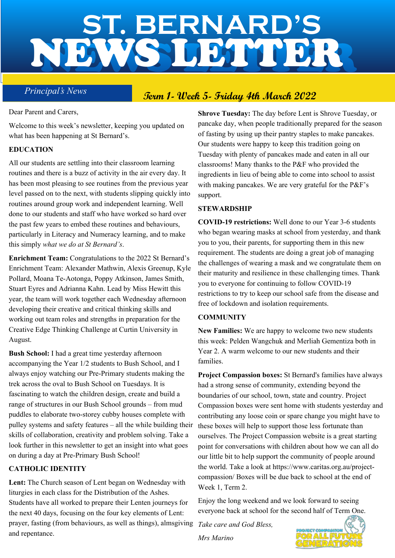# NEWS LETTER **ST. BERNARD'S** NEWS LETTER

## **Principal's News Term 1- Week 5- Friday 4th March 2022**

Dear Parent and Carers,

Welcome to this week's newsletter, keeping you updated on what has been happening at St Bernard's.

#### **EDUCATION**

All our students are settling into their classroom learning routines and there is a buzz of activity in the air every day. It has been most pleasing to see routines from the previous year level passed on to the next, with students slipping quickly into routines around group work and independent learning. Well done to our students and staff who have worked so hard over the past few years to embed these routines and behaviours, particularly in Literacy and Numeracy learning, and to make this simply *what we do at St Bernard's*.

**Enrichment Team:** Congratulations to the 2022 St Bernard's Enrichment Team: Alexander Mathwin, Alexis Greenup, Kyle Pollard, Moana Te-Aotonga, Poppy Atkinson, James Smith, Stuart Eyres and Adrianna Kahn. Lead by Miss Hewitt this year, the team will work together each Wednesday afternoon developing their creative and critical thinking skills and working out team roles and strengths in preparation for the Creative Edge Thinking Challenge at Curtin University in August.

**Bush School:** I had a great time yesterday afternoon accompanying the Year 1/2 students to Bush School, and I always enjoy watching our Pre-Primary students making the trek across the oval to Bush School on Tuesdays. It is fascinating to watch the children design, create and build a range of structures in our Bush School grounds – from mud puddles to elaborate two-storey cubby houses complete with pulley systems and safety features – all the while building their skills of collaboration, creativity and problem solving. Take a look further in this newsletter to get an insight into what goes on during a day at Pre-Primary Bush School!

#### **CATHOLIC IDENTITY**

**Lent:** The Church season of Lent began on Wednesday with liturgies in each class for the Distribution of the Ashes. Students have all worked to prepare their Lenten journeys for the next 40 days, focusing on the four key elements of Lent: prayer, fasting (from behaviours, as well as things), almsgiving *Take care and God Bless,* and repentance.

**Shrove Tuesday:** The day before Lent is Shrove Tuesday, or pancake day, when people traditionally prepared for the season of fasting by using up their pantry staples to make pancakes. Our students were happy to keep this tradition going on Tuesday with plenty of pancakes made and eaten in all our classrooms! Many thanks to the P&F who provided the ingredients in lieu of being able to come into school to assist with making pancakes. We are very grateful for the P&F's support.

#### **STEWARDSHIP**

**COVID-19 restrictions:** Well done to our Year 3-6 students who began wearing masks at school from yesterday, and thank you to you, their parents, for supporting them in this new requirement. The students are doing a great job of managing the challenges of wearing a mask and we congratulate them on their maturity and resilience in these challenging times. Thank you to everyone for continuing to follow COVID-19 restrictions to try to keep our school safe from the disease and free of lockdown and isolation requirements.

#### **COMMUNITY**

**New Families:** We are happy to welcome two new students this week: Pelden Wangchuk and Merliah Gementiza both in Year 2. A warm welcome to our new students and their families.

**Project Compassion boxes:** St Bernard's families have always had a strong sense of community, extending beyond the boundaries of our school, town, state and country. Project Compassion boxes were sent home with students yesterday and contributing any loose coin or spare change you might have to these boxes will help to support those less fortunate than ourselves. The Project Compassion website is a great starting point for conversations with children about how we can all do our little bit to help support the community of people around the world. Take a look at https://www.caritas.org.au/projectcompassion/ Boxes will be due back to school at the end of Week 1, Term 2.

Enjoy the long weekend and we look forward to seeing everyone back at school for the second half of Term One.

*Mrs Marino*

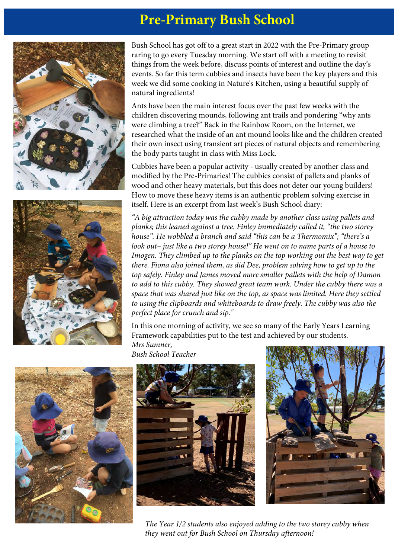## **Pre-Primary Bush School**





Bush School has got off to a great start in 2022 with the Pre-Primary group raring to go every Tuesday morning. We start off with a meeting to revisit things from the week before, discuss points of interest and outline the day's events. So far this term cubbies and insects have been the key players and this week we did some cooking in Nature's Kitchen, using a beautiful supply of natural ingredients!

Ants have been the main interest focus over the past few weeks with the children discovering mounds, following ant trails and pondering "why ants were climbing a tree?" Back in the Rainbow Room, on the Internet, we researched what the inside of an ant mound looks like and the children created their own insect using transient art pieces of natural objects and remembering the body parts taught in class with Miss Lock.

Cubbies have been a popular activity - usually created by another class and modified by the Pre-Primaries! The cubbies consist of pallets and planks of wood and other heavy materials, but this does not deter our young builders! How to move these heavy items is an authentic problem solving exercise in itself. Here is an excerpt from last week's Bush School diary:

*"A big attraction today was the cubby made by another class using pallets and planks; this leaned against a tree. Finley immediately called it, "the two storey house". He wobbled a branch and said "this can be a Thermomix"; "there's a look out– just like a two storey house!*" He went on to name parts of a house to *Imogen. They climbed up to the planks on the top working out the best way to get there. Fiona also joined them, as did Dee, problem solving how to get up to the top safely. Finley and James moved more smaller pallets with the help of Damon to add to this cubby. They showed great team work. Under the cubby there was a space that was shared just like on the top, as space was limited. Here they settled to using the clipboards and whiteboards to draw freely. The cubby was also the perfect place for crunch and sip."*

In this one morning of activity, we see so many of the Early Years Learning Framework capabilities put to the test and achieved by our students. *Mrs Sumner,* 

*Bush School Teacher* 







*The Year 1/2 students also enjoyed adding to the two storey cubby when they went out for Bush School on Thursday afternoon!*